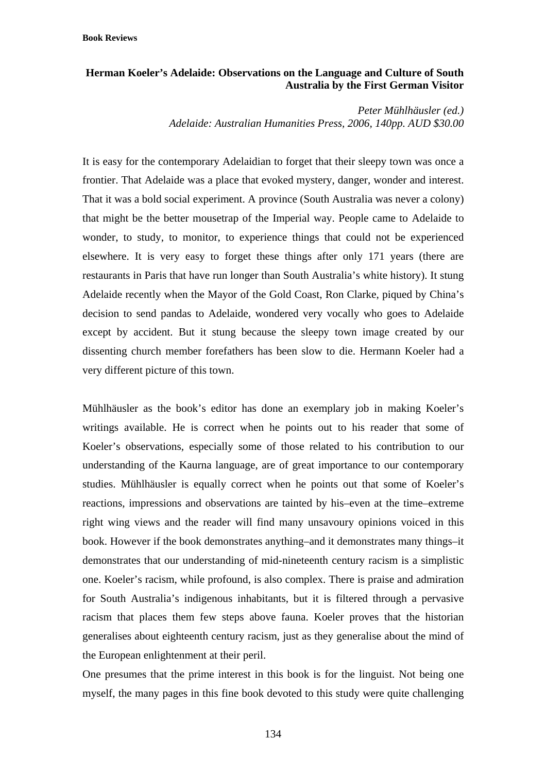## **Herman Koeler's Adelaide: Observations on the Language and Culture of South Australia by the First German Visitor**

*Peter Mühlhäusler (ed.) Adelaide: Australian Humanities Press, 2006, 140pp. AUD \$30.00*

It is easy for the contemporary Adelaidian to forget that their sleepy town was once a frontier. That Adelaide was a place that evoked mystery, danger, wonder and interest. That it was a bold social experiment. A province (South Australia was never a colony) that might be the better mousetrap of the Imperial way. People came to Adelaide to wonder, to study, to monitor, to experience things that could not be experienced elsewhere. It is very easy to forget these things after only 171 years (there are restaurants in Paris that have run longer than South Australia's white history). It stung Adelaide recently when the Mayor of the Gold Coast, Ron Clarke, piqued by China's decision to send pandas to Adelaide, wondered very vocally who goes to Adelaide except by accident. But it stung because the sleepy town image created by our dissenting church member forefathers has been slow to die. Hermann Koeler had a very different picture of this town.

Mühlhäusler as the book's editor has done an exemplary job in making Koeler's writings available. He is correct when he points out to his reader that some of Koeler's observations, especially some of those related to his contribution to our understanding of the Kaurna language, are of great importance to our contemporary studies. Mühlhäusler is equally correct when he points out that some of Koeler's reactions, impressions and observations are tainted by his–even at the time–extreme right wing views and the reader will find many unsavoury opinions voiced in this book. However if the book demonstrates anything–and it demonstrates many things–it demonstrates that our understanding of mid-nineteenth century racism is a simplistic one. Koeler's racism, while profound, is also complex. There is praise and admiration for South Australia's indigenous inhabitants, but it is filtered through a pervasive racism that places them few steps above fauna. Koeler proves that the historian generalises about eighteenth century racism, just as they generalise about the mind of the European enlightenment at their peril.

One presumes that the prime interest in this book is for the linguist. Not being one myself, the many pages in this fine book devoted to this study were quite challenging